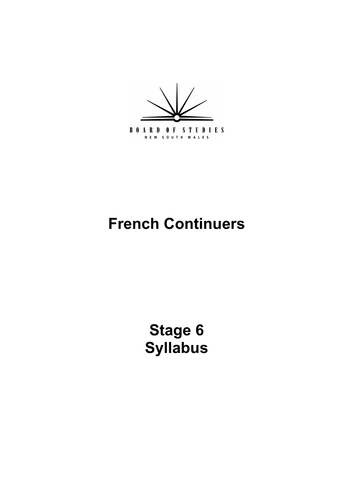

# **French Continuers**

**[Stage 6](#page-4-0) Syllabus**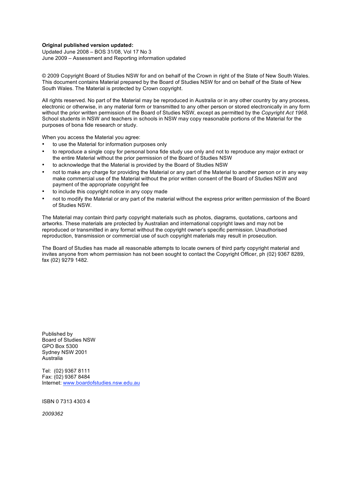#### **Original published version updated:**

 Updated June 2008 – BOS 31/08, Vol 17 No 3 June 2009 – Assessment and Reporting information updated

 © 2009 Copyright Board of Studies NSW for and on behalf of the Crown in right of the State of New South Wales. This document contains Material prepared by the Board of Studies NSW for and on behalf of the State of New South Wales. The Material is protected by Crown copyright.

 All rights reserved. No part of the Material may be reproduced in Australia or in any other country by any process, electronic or otherwise, in any material form or transmitted to any other person or stored electronically in any form without the prior written permission of the Board of Studies NSW, except as permitted by the *Copyright Act 1968*. School students in NSW and teachers in schools in NSW may copy reasonable portions of the Material for the purposes of bona fide research or study.

When you access the Material you agree:

- • to use the Material for information purposes only
- • to reproduce a single copy for personal bona fide study use only and not to reproduce any major extract or the entire Material without the prior permission of the Board of Studies NSW
- • to acknowledge that the Material is provided by the Board of Studies NSW
- not to make any charge for providing the Material or any part of the Material to another person or in any way make commercial use of the Material without the prior written consent of the Board of Studies NSW and payment of the appropriate copyright fee
- • to include this copyright notice in any copy made
- • not to modify the Material or any part of the material without the express prior written permission of the Board of Studies NSW.

 The Material may contain third party copyright materials such as photos, diagrams, quotations, cartoons and artworks. These materials are protected by Australian and international copyright laws and may not be reproduced or transmitted in any format without the copyright owner's specific permission. Unauthorised reproduction, transmission or commercial use of such copyright materials may result in prosecution.

 The Board of Studies has made all reasonable attempts to locate owners of third party copyright material and invites anyone from whom permission has not been sought to contact the Copyright Officer, ph (02) 9367 8289, fax (02) 9279 1482.

 Board of Studies NSW GPO Box 5300 Sydney NSW 2001 Published by Australia

 Tel: (02) 9367 8111 Fax: (02) 9367 8484 Internet: www.boardofstudies.nsw.edu.au

ISBN 0 7313 4303 4

*2009362*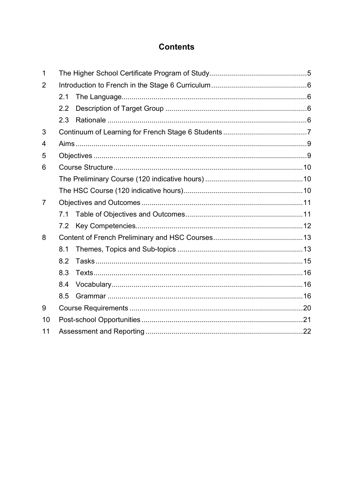### **Contents**

| 1              |     |  |  |
|----------------|-----|--|--|
| 2              |     |  |  |
|                | 2.1 |  |  |
|                | 2.2 |  |  |
|                | 2.3 |  |  |
| 3              |     |  |  |
| 4              |     |  |  |
| 5              |     |  |  |
| 6              |     |  |  |
|                |     |  |  |
|                |     |  |  |
| $\overline{7}$ |     |  |  |
|                | 7.1 |  |  |
|                | 7.2 |  |  |
| 8              |     |  |  |
|                | 8.1 |  |  |
|                | 8.2 |  |  |
|                | 8.3 |  |  |
|                | 8.4 |  |  |
|                | 8.5 |  |  |
| 9              |     |  |  |
| 10             |     |  |  |
| 11             |     |  |  |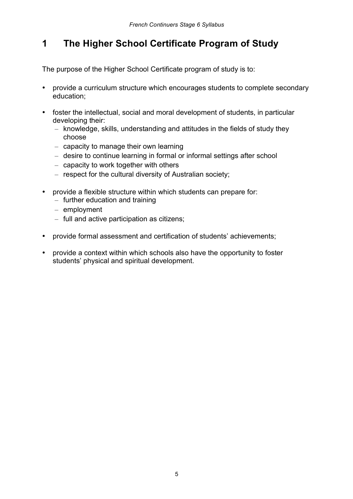# <span id="page-3-0"></span>**1 The Higher School Certificate Program of Study**

The purpose of the Higher School Certificate program of study is to:

- provide a curriculum structure which encourages students to complete secondary education;
- foster the intellectual, social and moral development of students, in particular developing their:
	- $-$  knowledge, skills, understanding and attitudes in the fields of study they choose
	- $-$  capacity to manage their own learning
	- desire to continue learning in formal or informal settings after school
	- $-$  capacity to work together with others
	- $-$  respect for the cultural diversity of Australian society;
- • provide a flexible structure within which students can prepare for:
	- $-$  further education and training
	- – employment
	- $-$  full and active participation as citizens;
- provide formal assessment and certification of students' achievements;
- provide a context within which schools also have the opportunity to foster students' physical and spiritual development.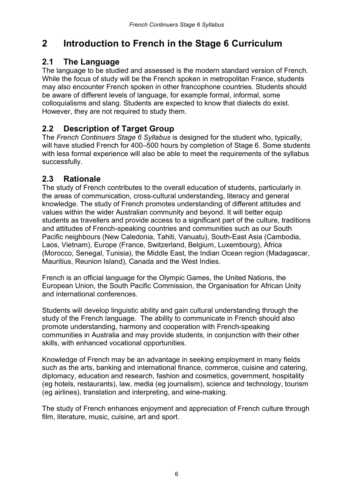# <span id="page-4-0"></span>**2 Introduction to French in the Stage 6 Curriculum**

#### **2.1 The Language**

 The language to be studied and assessed is the modern standard version of French. While the focus of study will be the French spoken in metropolitan France, students may also encounter French spoken in other francophone countries. Students should be aware of different levels of language, for example formal, informal, some colloquialisms and slang. Students are expected to know that dialects do exist. However, they are not required to study them.

### **2.2 Description of Target Group**

 The *French Continuers Stage 6 Syllabus* is designed for the student who, typically, will have studied French for 400–500 hours by completion of Stage 6. Some students with less formal experience will also be able to meet the requirements of the syllabus successfully.

#### **2.3 Rationale**

 The study of French contributes to the overall education of students, particularly in the areas of communication, cross-cultural understanding, literacy and general knowledge. The study of French promotes understanding of different attitudes and values within the wider Australian community and beyond. It will better equip students as travellers and provide access to a significant part of the culture, traditions and attitudes of French-speaking countries and communities such as our South Pacific neighbours (New Caledonia, Tahiti, Vanuatu), South-East Asia (Cambodia, Laos, Vietnam), Europe (France, Switzerland, Belgium, Luxembourg), Africa (Morocco, Senegal, Tunisia), the Middle East, the Indian Ocean region (Madagascar, Mauritius, Reunion Island), Canada and the West Indies.

 French is an official language for the Olympic Games, the United Nations, the European Union, the South Pacific Commission, the Organisation for African Unity and international conferences.

 Students will develop linguistic ability and gain cultural understanding through the study of the French language. The ability to communicate in French should also promote understanding, harmony and cooperation with French-speaking communities in Australia and may provide students, in conjunction with their other skills, with enhanced vocational opportunities.

 Knowledge of French may be an advantage in seeking employment in many fields such as the arts, banking and international finance, commerce, cuisine and catering, diplomacy, education and research, fashion and cosmetics, government, hospitality (eg hotels, restaurants), law, media (eg journalism), science and technology, tourism (eg airlines), translation and interpreting, and wine-making.

 The study of French enhances enjoyment and appreciation of French culture through film, literature, music, cuisine, art and sport.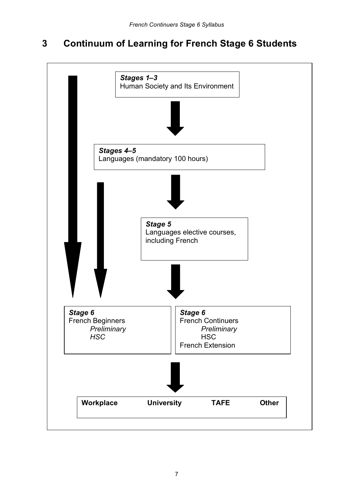#### **Continuum of Learning for French Stage 6 Students 3**

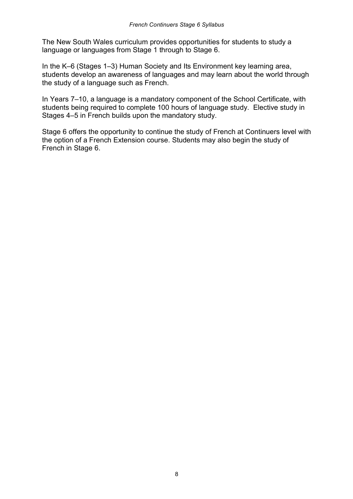The New South Wales curriculum provides opportunities for students to study a language or languages from Stage 1 through to Stage 6.

 In the K–6 (Stages 1–3) Human Society and Its Environment key learning area, students develop an awareness of languages and may learn about the world through the study of a language such as French.

 In Years 7–10, a language is a mandatory component of the School Certificate, with students being required to complete 100 hours of language study. Elective study in Stages 4–5 in French builds upon the mandatory study.

 Stage 6 offers the opportunity to continue the study of French at Continuers level with the option of a French Extension course. Students may also begin the study of French in Stage 6.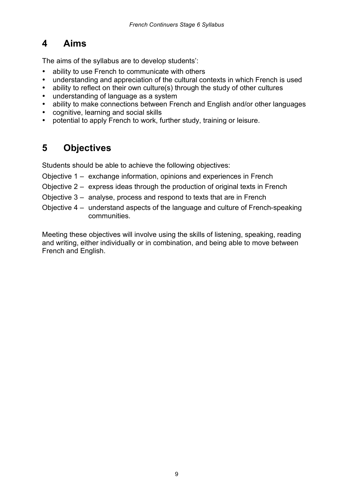# <span id="page-7-0"></span>**4 Aims**

The aims of the syllabus are to develop students':

- ability to use French to communicate with others
- understanding and appreciation of the cultural contexts in which French is used
- ability to reflect on their own culture(s) through the study of other cultures
- understanding of language as a system
- ability to make connections between French and English and/or other languages
- cognitive, learning and social skills
- potential to apply French to work, further study, training or leisure.

# **5 Objectives**

Students should be able to achieve the following objectives:

- Objective 1 exchange information, opinions and experiences in French
- Objective 2 express ideas through the production of original texts in French
- Objective 3 analyse, process and respond to texts that are in French
- Objective 4 understand aspects of the language and culture of French-speaking communities.

 Meeting these objectives will involve using the skills of listening, speaking, reading and writing, either individually or in combination, and being able to move between French and English.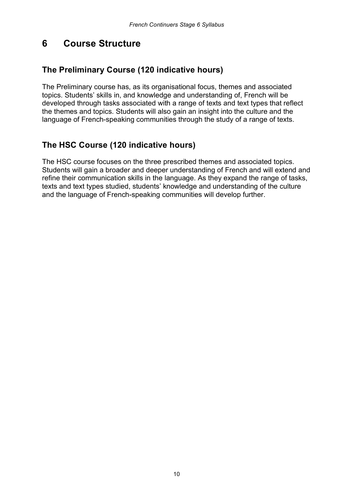#### <span id="page-8-0"></span>**6 Course Structure**

#### **The Preliminary Course (120 indicative hours)**

 The Preliminary course has, as its organisational focus, themes and associated topics. Students' skills in, and knowledge and understanding of, French will be developed through tasks associated with a range of texts and text types that reflect the themes and topics. Students will also gain an insight into the culture and the language of French-speaking communities through the study of a range of texts.

### **The HSC Course (120 indicative hours)**

 The HSC course focuses on the three prescribed themes and associated topics. Students will gain a broader and deeper understanding of French and will extend and refine their communication skills in the language. As they expand the range of tasks, texts and text types studied, students' knowledge and understanding of the culture and the language of French-speaking communities will develop further.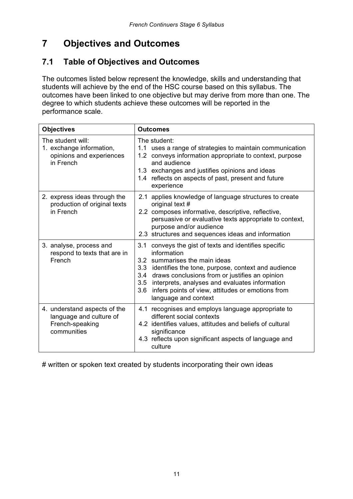# **7 Objectives and Outcomes**

#### **7.1 Table of Objectives and Outcomes**

 The outcomes listed below represent the knowledge, skills and understanding that students will achieve by the end of the HSC course based on this syllabus. The outcomes have been linked to one objective but may derive from more than one. The degree to which students achieve these outcomes will be reported in the performance scale.

| <b>Objectives</b>                                                                         | <b>Outcomes</b>                                                                                                                                                                                                                                                                                                                                                    |  |  |
|-------------------------------------------------------------------------------------------|--------------------------------------------------------------------------------------------------------------------------------------------------------------------------------------------------------------------------------------------------------------------------------------------------------------------------------------------------------------------|--|--|
| The student will:<br>1. exchange information,<br>opinions and experiences<br>in French    | The student:<br>1.1 uses a range of strategies to maintain communication<br>1.2 conveys information appropriate to context, purpose<br>and audience<br>1.3 exchanges and justifies opinions and ideas<br>1.4 reflects on aspects of past, present and future<br>experience                                                                                         |  |  |
| 2. express ideas through the<br>production of original texts<br>in French                 | 2.1 applies knowledge of language structures to create<br>original text #<br>2.2 composes informative, descriptive, reflective,<br>persuasive or evaluative texts appropriate to context,<br>purpose and/or audience<br>2.3 structures and sequences ideas and information                                                                                         |  |  |
| 3. analyse, process and<br>respond to texts that are in<br>French                         | 3.1<br>conveys the gist of texts and identifies specific<br>information<br>3.2 summarises the main ideas<br>3.3 identifies the tone, purpose, context and audience<br>3.4 draws conclusions from or justifies an opinion<br>3.5 interprets, analyses and evaluates information<br>infers points of view, attitudes or emotions from<br>3.6<br>language and context |  |  |
| 4. understand aspects of the<br>language and culture of<br>French-speaking<br>communities | 4.1 recognises and employs language appropriate to<br>different social contexts<br>4.2 identifies values, attitudes and beliefs of cultural<br>significance<br>4.3 reflects upon significant aspects of language and<br>culture                                                                                                                                    |  |  |

# written or spoken text created by students incorporating their own ideas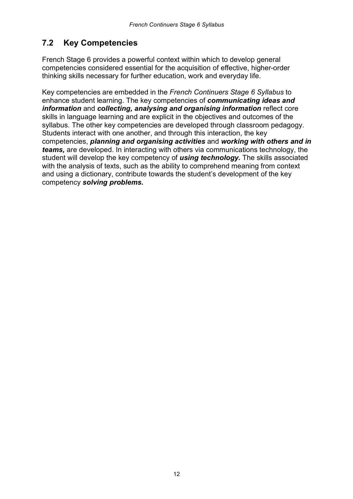## <span id="page-10-0"></span>**7.2 Key Competencies**

 French Stage 6 provides a powerful context within which to develop general competencies considered essential for the acquisition of effective, higher-order thinking skills necessary for further education, work and everyday life.

 Key competencies are embedded in the *French Continuers Stage 6 Syllabus* to enhance student learning. The key competencies of *communicating ideas and information* and *collecting, analysing and organising information* reflect core skills in language learning and are explicit in the objectives and outcomes of the syllabus. The other key competencies are developed through classroom pedagogy. Students interact with one another, and through this interaction, the key  competencies, *planning and organising activities* and *working with others and in teams,* are developed. In interacting with others via communications technology, the student will develop the key competency of *using technology.* The skills associated with the analysis of texts, such as the ability to comprehend meaning from context and using a dictionary, contribute towards the student's development of the key competency *solving problems.*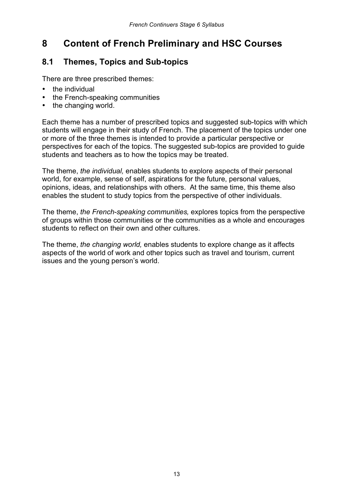# <span id="page-11-0"></span> **8 Content of French Preliminary and HSC Courses**

### **8.1 Themes, Topics and Sub-topics**

There are three prescribed themes:

- the individual
- the French-speaking communities
- the changing world.

Each theme has a number of prescribed topics and suggested sub-topics with which students will engage in their study of French. The placement of the topics under one or more of the three themes is intended to provide a particular perspective or perspectives for each of the topics. The suggested sub-topics are provided to guide students and teachers as to how the topics may be treated.

The theme, *the individual,* enables students to explore aspects of their personal world, for example, sense of self, aspirations for the future, personal values, opinions, ideas, and relationships with others. At the same time, this theme also enables the student to study topics from the perspective of other individuals.

The theme, *the French-speaking communities,* explores topics from the perspective of groups within those communities or the communities as a whole and encourages students to reflect on their own and other cultures.

The theme, *the changing world,* enables students to explore change as it affects aspects of the world of work and other topics such as travel and tourism, current issues and the young person's world.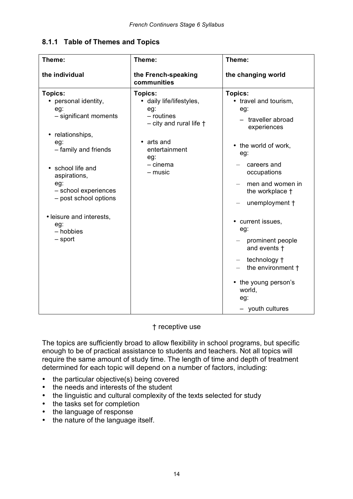#### **8.1.1 Table of Themes and Topics**

| Theme:                                                                                                                                                                                                                                                                                  | Theme:                                                                                                                                                                   | Theme:                                                                                                                                                                                                                                                                                                                                                                      |  |
|-----------------------------------------------------------------------------------------------------------------------------------------------------------------------------------------------------------------------------------------------------------------------------------------|--------------------------------------------------------------------------------------------------------------------------------------------------------------------------|-----------------------------------------------------------------------------------------------------------------------------------------------------------------------------------------------------------------------------------------------------------------------------------------------------------------------------------------------------------------------------|--|
| the individual                                                                                                                                                                                                                                                                          | the French-speaking<br>communities                                                                                                                                       | the changing world                                                                                                                                                                                                                                                                                                                                                          |  |
| Topics:<br>• personal identity,<br>eg:<br>- significant moments<br>relationships,<br>$\bullet$<br>eg:<br>- family and friends<br>• school life and<br>aspirations,<br>eg:<br>- school experiences<br>- post school options<br>· leisure and interests,<br>eg:<br>- hobbies<br>$-$ sport | <b>Topics:</b><br>• daily life/lifestyles,<br>eg:<br>$-$ routines<br>$-$ city and rural life $\dagger$<br>• arts and<br>entertainment<br>eg:<br>$- c$ inema<br>$-$ music | <b>Topics:</b><br>• travel and tourism,<br>eg:<br>- traveller abroad<br>experiences<br>• the world of work,<br>eg:<br>careers and<br>occupations<br>men and women in<br>the workplace +<br>unemployment +<br>• current issues,<br>eg:<br>prominent people<br>and events t<br>technology +<br>the environment +<br>• the young person's<br>world,<br>eg:<br>- youth cultures |  |

#### † receptive use

 The topics are sufficiently broad to allow flexibility in school programs, but specific enough to be of practical assistance to students and teachers. Not all topics will require the same amount of study time. The length of time and depth of treatment determined for each topic will depend on a number of factors, including:

- the particular objective(s) being covered
- the needs and interests of the student
- the linguistic and cultural complexity of the texts selected for study
- the tasks set for completion
- the language of response
- the nature of the language itself.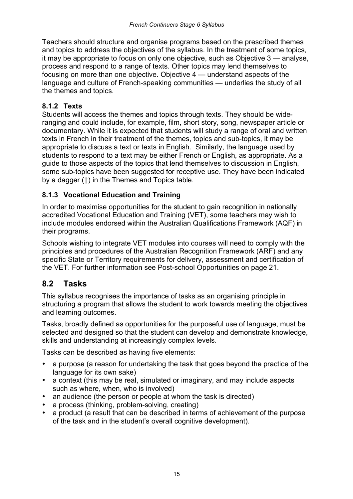<span id="page-13-0"></span> Teachers should structure and organise programs based on the prescribed themes and topics to address the objectives of the syllabus. In the treatment of some topics, it may be appropriate to focus on only one objective, such as Objective 3 — analyse, process and respond to a range of texts. Other topics may lend themselves to focusing on more than one objective. Objective 4 — understand aspects of the language and culture of French-speaking communities — underlies the study of all the themes and topics.

#### **8.1.2 Texts**

 Students will access the themes and topics through texts. They should be wide- ranging and could include, for example, film, short story, song, newspaper article or documentary. While it is expected that students will study a range of oral and written texts in French in their treatment of the themes, topics and sub-topics, it may be appropriate to discuss a text or texts in English. Similarly, the language used by students to respond to a text may be either French or English, as appropriate. As a guide to those aspects of the topics that lend themselves to discussion in English, some sub-topics have been suggested for receptive use. They have been indicated by a dagger (†) in the Themes and Topics table.

#### **8.1.3 Vocational Education and Training**

 In order to maximise opportunities for the student to gain recognition in nationally accredited Vocational Education and Training (VET), some teachers may wish to include modules endorsed within the Australian Qualifications Framework (AQF) in their programs.

 Schools wishing to integrate VET modules into courses will need to comply with the principles and procedures of the Australian Recognition Framework (ARF) and any specific State or Territory requirements for delivery, assessment and certification of the VET. For further information see Post-school Opportunities on page 21.

#### **8.2 Tasks**

 This syllabus recognises the importance of tasks as an organising principle in structuring a program that allows the student to work towards meeting the objectives and learning outcomes.

 Tasks, broadly defined as opportunities for the purposeful use of language, must be selected and designed so that the student can develop and demonstrate knowledge, skills and understanding at increasingly complex levels.

Tasks can be described as having five elements:

- a purpose (a reason for undertaking the task that goes beyond the practice of the language for its own sake)
- a context (this may be real, simulated or imaginary, and may include aspects such as where, when, who is involved)
- an audience (the person or people at whom the task is directed)
- a process (thinking, problem-solving, creating)
- a product (a result that can be described in terms of achievement of the purpose of the task and in the student's overall cognitive development).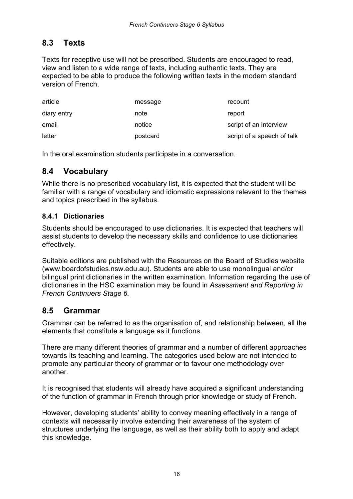#### **8.3 Texts**

 Texts for receptive use will not be prescribed. Students are encouraged to read, view and listen to a wide range of texts, including authentic texts. They are expected to be able to produce the following written texts in the modern standard version of French.

| article     | message  | recount                    |
|-------------|----------|----------------------------|
| diary entry | note     | report                     |
| email       | notice   | script of an interview     |
| letter      | postcard | script of a speech of talk |

In the oral examination students participate in a conversation.

#### **8.4 Vocabulary**

 While there is no prescribed vocabulary list, it is expected that the student will be familiar with a range of vocabulary and idiomatic expressions relevant to the themes and topics prescribed in the syllabus.

#### **8.4.1 Dictionaries**

 Students should be encouraged to use dictionaries. It is expected that teachers will assist students to develop the necessary skills and confidence to use dictionaries effectively.

 Suitable editions are published with the Resources on the Board of Studies website (www.boardofstudies.nsw.edu.au). Students are able to use monolingual and/or bilingual print dictionaries in the written examination. Information regarding the use of dictionaries in the HSC examination may be found in *Assessment and Reporting in French Continuers Stage 6.* 

#### **8.5 Grammar**

 Grammar can be referred to as the organisation of, and relationship between, all the elements that constitute a language as it functions.

 There are many different theories of grammar and a number of different approaches towards its teaching and learning. The categories used below are not intended to promote any particular theory of grammar or to favour one methodology over another.

 It is recognised that students will already have acquired a significant understanding of the function of grammar in French through prior knowledge or study of French.

 However, developing students' ability to convey meaning effectively in a range of contexts will necessarily involve extending their awareness of the system of structures underlying the language, as well as their ability both to apply and adapt this knowledge.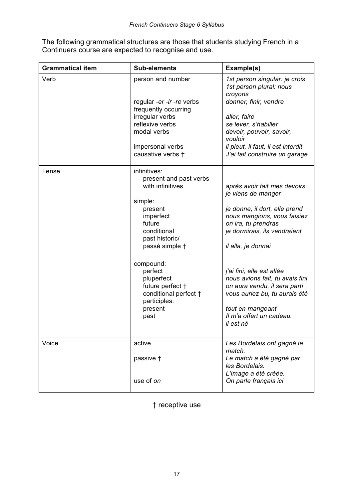The following grammatical structures are those that students studying French in a Continuers course are expected to recognise and use.

| <b>Grammatical item</b> | <b>Sub-elements</b>                        | Example(s)                                                          |
|-------------------------|--------------------------------------------|---------------------------------------------------------------------|
| Verb                    | person and number                          | 1st person singular: je crois<br>1st person plural: nous<br>croyons |
|                         | regular -er -ir -re verbs                  | donner, finir, vendre                                               |
|                         | frequently occurring<br>irregular verbs    | aller, faire                                                        |
|                         | reflexive verbs                            | se lever, s'habiller                                                |
|                         | modal verbs                                | devoir, pouvoir, savoir,<br>vouloir                                 |
|                         | impersonal verbs                           | il pleut, il faut, il est interdit                                  |
|                         | causative verbs t                          | J'ai fait construire un garage                                      |
| <b>Tense</b>            | infinitives:                               |                                                                     |
|                         | present and past verbs<br>with infinitives | après avoir fait mes devoirs<br>je viens de manger                  |
|                         | simple:                                    |                                                                     |
|                         | present<br>imperfect                       | je donne, il dort, elle prend<br>nous mangions, vous faisiez        |
|                         | future                                     | on ira, tu prendras                                                 |
|                         | conditional                                | je dormirais, ils vendraient                                        |
|                         | past historic/                             |                                                                     |
|                         | passé simple †                             | il alla, je donnai                                                  |
|                         | compound:                                  |                                                                     |
|                         | perfect<br>pluperfect                      | j'ai fini, elle est allée<br>nous avions fait, tu avais fini        |
|                         | future perfect +                           | on aura vendu, il sera parti                                        |
|                         | conditional perfect +                      | vous auriez bu, tu aurais été                                       |
|                         | participles:<br>present                    | tout en mangeant                                                    |
|                         | past                                       | Il m'a offert un cadeau.                                            |
|                         |                                            | il est né                                                           |
| Voice                   | active                                     | Les Bordelais ont gagné le                                          |
|                         |                                            | match.                                                              |
|                         | passive +                                  | Le match a été gagné par<br>les Bordelais.                          |
|                         |                                            | L'image a été créée.                                                |
|                         | use of on                                  | On parle français ici                                               |

† receptive use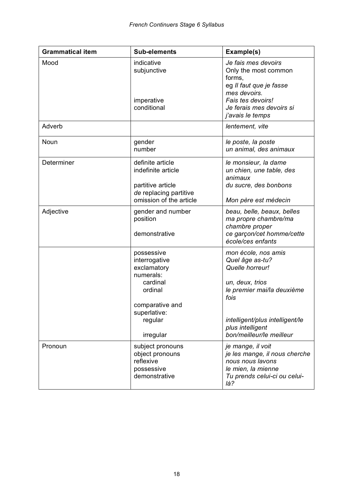| <b>Grammatical item</b> | <b>Sub-elements</b>                                                                   | Example(s)                                                                                                                          |
|-------------------------|---------------------------------------------------------------------------------------|-------------------------------------------------------------------------------------------------------------------------------------|
| Mood                    | indicative<br>subjunctive<br>imperative                                               | Je fais mes devoirs<br>Only the most common<br>forms,<br>eg Il faut que je fasse<br>mes devoirs.<br>Fais tes devoirs!               |
|                         | conditional                                                                           | Je ferais mes devoirs si<br>j'avais le temps                                                                                        |
| Adverb                  |                                                                                       | lentement, vite                                                                                                                     |
| Noun                    | gender<br>number                                                                      | le poste, la poste<br>un animal, des animaux                                                                                        |
| Determiner              | definite article<br>indefinite article<br>partitive article<br>de replacing partitive | le monsieur, la dame<br>un chien, une table, des<br>animaux<br>du sucre, des bonbons                                                |
|                         | omission of the article                                                               | Mon père est médecin                                                                                                                |
| Adjective               | gender and number<br>position<br>demonstrative                                        | beau, belle, beaux, belles<br>ma propre chambre/ma<br>chambre proper<br>ce garçon/cet homme/cette<br>école/ces enfants              |
|                         | possessive<br>interrogative<br>exclamatory<br>numerals:<br>cardinal<br>ordinal        | mon école, nos amis<br>Quel âge as-tu?<br>Quelle horreur!<br>un, deux, trios<br>le premier mai/la deuxième                          |
|                         | comparative and<br>superlative:<br>regular<br>irregular                               | fois<br>intelligent/plus intelligent/le<br>plus intelligent<br>bon/meilleur/le meilleur                                             |
| Pronoun                 | subject pronouns<br>object pronouns<br>reflexive<br>possessive<br>demonstrative       | je mange, il voit<br>je les mange, il nous cherche<br>nous nous lavons<br>le mien, la mienne<br>Tu prends celui-ci ou celui-<br>là? |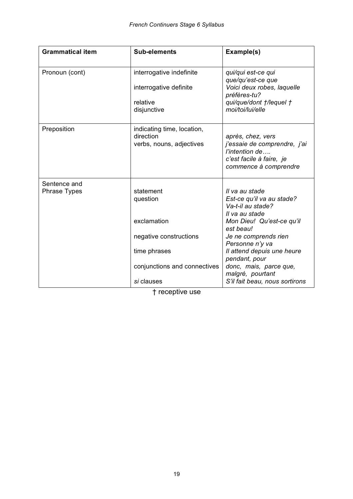| <b>Grammatical item</b>             | <b>Sub-elements</b>                                                                                                          | Example(s)                                                                                                                                                                                                                                                                                             |
|-------------------------------------|------------------------------------------------------------------------------------------------------------------------------|--------------------------------------------------------------------------------------------------------------------------------------------------------------------------------------------------------------------------------------------------------------------------------------------------------|
| Pronoun (cont)                      | interrogative indefinite<br>interrogative definite<br>relative<br>disjunctive                                                | qui/qui est-ce qui<br>que/qu'est-ce que<br>Voici deux robes, laquelle<br>préfères-tu?<br>qui/que/dont t/lequel t<br>moi/toi/lui/elle                                                                                                                                                                   |
| Preposition                         | indicating time, location,<br>direction<br>verbs, nouns, adjectives                                                          | après, chez, vers<br>j'essaie de comprendre, j'ai<br>l'intention de<br>c'est facile à faire, je<br>commence à comprendre                                                                                                                                                                               |
| Sentence and<br><b>Phrase Types</b> | statement<br>question<br>exclamation<br>negative constructions<br>time phrases<br>conjunctions and connectives<br>si clauses | Il va au stade<br>Est-ce qu'il va au stade?<br>Va-t-il au stade?<br>Il va au stade<br>Mon Dieu! Qu'est-ce qu'il<br>est beau!<br>Je ne comprends rien<br>Personne n'y va<br>Il attend depuis une heure<br>pendant, pour<br>donc, mais, parce que,<br>malgré, pourtant<br>S'il fait beau, nous sortirons |

† receptive use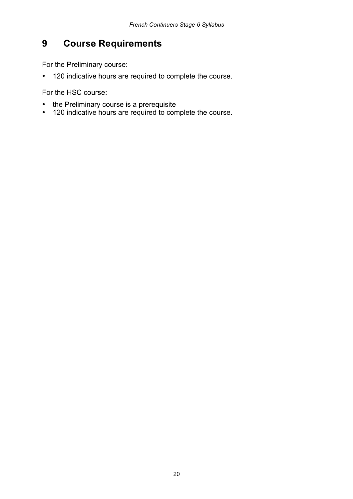# <span id="page-18-0"></span>**9 Course Requirements**

For the Preliminary course:

• 120 indicative hours are required to complete the course.

For the HSC course:

- the Preliminary course is a prerequisite
- 120 indicative hours are required to complete the course.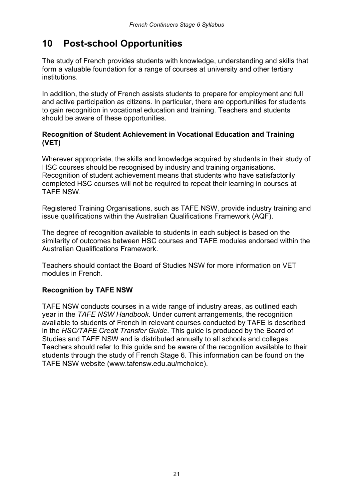# <span id="page-19-0"></span>**10 Post-school Opportunities**

 The study of French provides students with knowledge, understanding and skills that form a valuable foundation for a range of courses at university and other tertiary institutions.

 In addition, the study of French assists students to prepare for employment and full and active participation as citizens. In particular, there are opportunities for students to gain recognition in vocational education and training. Teachers and students should be aware of these opportunities.

#### **Recognition of Student Achievement in Vocational Education and Training (VET)**

 Wherever appropriate, the skills and knowledge acquired by students in their study of HSC courses should be recognised by industry and training organisations. Recognition of student achievement means that students who have satisfactorily completed HSC courses will not be required to repeat their learning in courses at TAFE NSW.

 Registered Training Organisations, such as TAFE NSW, provide industry training and issue qualifications within the Australian Qualifications Framework (AQF).

 The degree of recognition available to students in each subject is based on the similarity of outcomes between HSC courses and TAFE modules endorsed within the Australian Qualifications Framework.

 Teachers should contact the Board of Studies NSW for more information on VET modules in French.

#### **Recognition by TAFE NSW**

 TAFE NSW conducts courses in a wide range of industry areas, as outlined each year in the *TAFE NSW Handbook.* Under current arrangements, the recognition available to students of French in relevant courses conducted by TAFE is described in the *HSC/TAFE Credit Transfer Guide.* This guide is produced by the Board of Studies and TAFE NSW and is distributed annually to all schools and colleges. Teachers should refer to this guide and be aware of the recognition available to their students through the study of French Stage 6. This information can be found on the TAFE NSW website (www.tafensw.edu.au/mchoice).